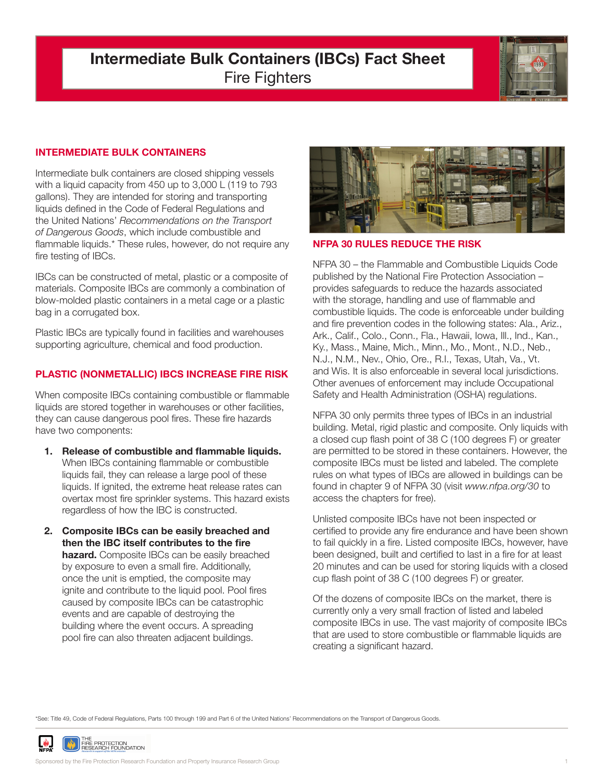# **Intermediate Bulk Containers (IBCs) Fact Sheet** Fire Fighters



## **INTERMEDIATE BULK CONTAINERS**

Intermediate bulk containers are closed shipping vessels with a liquid capacity from 450 up to 3,000 L (119 to 793 gallons). They are intended for storing and transporting liquids defined in the Code of Federal Regulations and the United Nations' *Recommendations on the Transport of Dangerous Goods*, which include combustible and flammable liquids.\* These rules, however, do not require any fire testing of IBCs.

IBCs can be constructed of metal, plastic or a composite of materials. Composite IBCs are commonly a combination of blow-molded plastic containers in a metal cage or a plastic bag in a corrugated box.

Plastic IBCs are typically found in facilities and warehouses supporting agriculture, chemical and food production.

## **PLASTIC (NONMETALLIC) IBCS INCREASE FIRE RISK**

When composite IBCs containing combustible or flammable liquids are stored together in warehouses or other facilities, they can cause dangerous pool fires. These fire hazards have two components:

- **1. Release of combustible and flammable liquids.** When IBCs containing flammable or combustible liquids fail, they can release a large pool of these liquids. If ignited, the extreme heat release rates can overtax most fire sprinkler systems. This hazard exists regardless of how the IBC is constructed.
- **2. Composite IBCs can be easily breached and then the IBC itself contributes to the fire hazard.** Composite IBCs can be easily breached by exposure to even a small fire. Additionally, once the unit is emptied, the composite may ignite and contribute to the liquid pool. Pool fires caused by composite IBCs can be catastrophic events and are capable of destroying the building where the event occurs. A spreading pool fire can also threaten adjacent buildings.



#### **NFPA 30 RULES REDUCE THE RISK**

NFPA 30 – the Flammable and Combustible Liquids Code published by the National Fire Protection Association – provides safeguards to reduce the hazards associated with the storage, handling and use of flammable and combustible liquids. The code is enforceable under building and fire prevention codes in the following states: Ala., Ariz., Ark., Calif., Colo., Conn., Fla., Hawaii, Iowa, Ill., Ind., Kan., Ky., Mass., Maine, Mich., Minn., Mo., Mont., N.D., Neb., N.J., N.M., Nev., Ohio, Ore., R.I., Texas, Utah, Va., Vt. and Wis. It is also enforceable in several local jurisdictions. Other avenues of enforcement may include Occupational Safety and Health Administration (OSHA) regulations.

NFPA 30 only permits three types of IBCs in an industrial building. Metal, rigid plastic and composite. Only liquids with a closed cup flash point of 38 C (100 degrees F) or greater are permitted to be stored in these containers. However, the composite IBCs must be listed and labeled. The complete rules on what types of IBCs are allowed in buildings can be found in chapter 9 of NFPA 30 (visit *www.nfpa.org/30* to access the chapters for free).

Unlisted composite IBCs have not been inspected or certified to provide any fire endurance and have been shown to fail quickly in a fire. Listed composite IBCs, however, have been designed, built and certified to last in a fire for at least 20 minutes and can be used for storing liquids with a closed cup flash point of 38 C (100 degrees F) or greater.

Of the dozens of composite IBCs on the market, there is currently only a very small fraction of listed and labeled composite IBCs in use. The vast majority of composite IBCs that are used to store combustible or flammable liquids are creating a significant hazard.

\*See: Title 49, Code of Federal Regulations, Parts 100 through 199 and Part 6 of the United Nations' Recommendations on the Transport of Dangerous Goods.